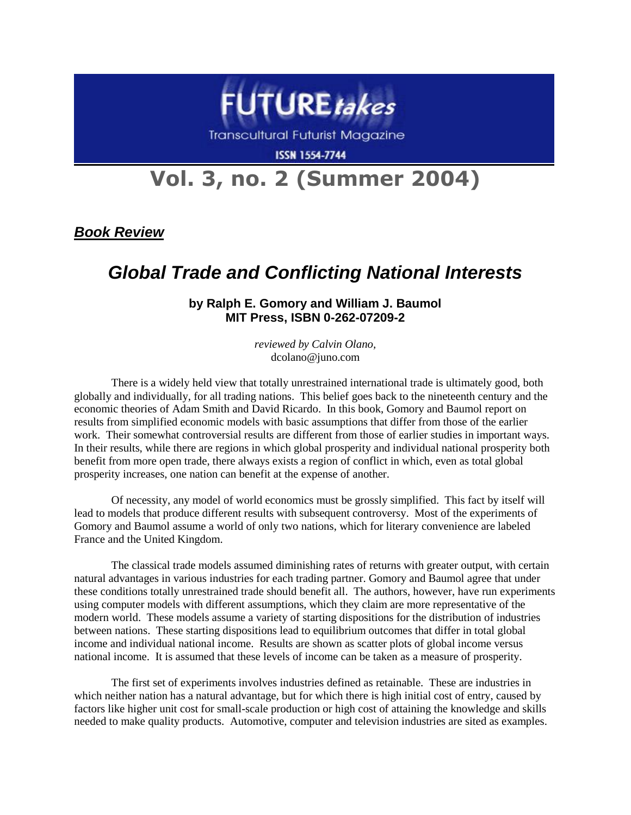

**Transcultural Futurist Magazine** 

**ISSN 1554-7744** 

## **Vol. 3, no. 2 (Summer 2004)**

*Book Review*

## *Global Trade and Conflicting National Interests*

**by Ralph E. Gomory and William J. Baumol MIT Press, ISBN 0-262-07209-2**

> *reviewed by Calvin Olano,* dcolano@juno.com

There is a widely held view that totally unrestrained international trade is ultimately good, both globally and individually, for all trading nations. This belief goes back to the nineteenth century and the economic theories of Adam Smith and David Ricardo. In this book, Gomory and Baumol report on results from simplified economic models with basic assumptions that differ from those of the earlier work. Their somewhat controversial results are different from those of earlier studies in important ways. In their results, while there are regions in which global prosperity and individual national prosperity both benefit from more open trade, there always exists a region of conflict in which, even as total global prosperity increases, one nation can benefit at the expense of another.

Of necessity, any model of world economics must be grossly simplified. This fact by itself will lead to models that produce different results with subsequent controversy. Most of the experiments of Gomory and Baumol assume a world of only two nations, which for literary convenience are labeled France and the United Kingdom.

The classical trade models assumed diminishing rates of returns with greater output, with certain natural advantages in various industries for each trading partner. Gomory and Baumol agree that under these conditions totally unrestrained trade should benefit all. The authors, however, have run experiments using computer models with different assumptions, which they claim are more representative of the modern world. These models assume a variety of starting dispositions for the distribution of industries between nations. These starting dispositions lead to equilibrium outcomes that differ in total global income and individual national income. Results are shown as scatter plots of global income versus national income. It is assumed that these levels of income can be taken as a measure of prosperity.

The first set of experiments involves industries defined as retainable. These are industries in which neither nation has a natural advantage, but for which there is high initial cost of entry, caused by factors like higher unit cost for small-scale production or high cost of attaining the knowledge and skills needed to make quality products. Automotive, computer and television industries are sited as examples.